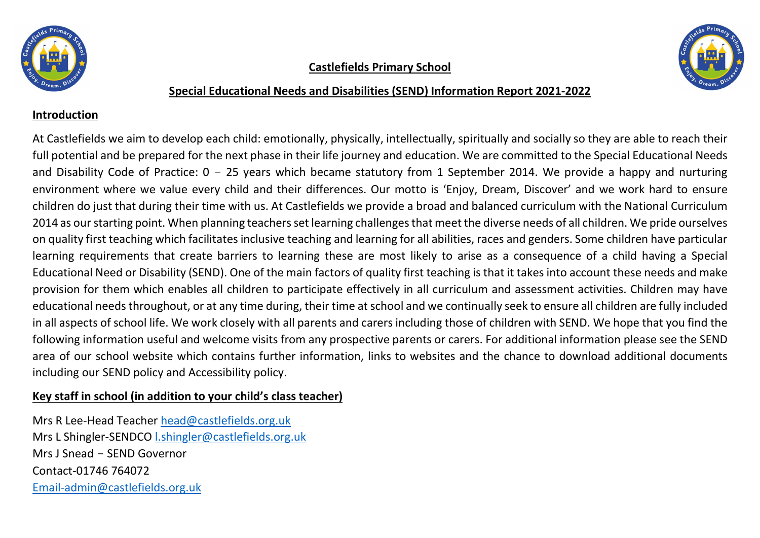





#### Special Educational Needs and Disabilities (SEND) Information Report 2021-2022

#### Introduction

At Castlefields we aim to develop each child: emotionally, physically, intellectually, spiritually and socially so they are able to reach their full potential and be prepared for the next phase in their life journey and education. We are committed to the Special Educational Needs and Disability Code of Practice:  $0 - 25$  years which became statutory from 1 September 2014. We provide a happy and nurturing environment where we value every child and their differences. Our motto is 'Enjoy, Dream, Discover' and we work hard to ensure children do just that during their time with us. At Castlefields we provide a broad and balanced curriculum with the National Curriculum 2014 as our starting point. When planning teachers set learning challenges that meet the diverse needs of all children. We pride ourselves on quality first teaching which facilitates inclusive teaching and learning for all abilities, races and genders. Some children have particular learning requirements that create barriers to learning these are most likely to arise as a consequence of a child having a Special Educational Need or Disability (SEND). One of the main factors of quality first teaching is that it takes into account these needs and make provision for them which enables all children to participate effectively in all curriculum and assessment activities. Children may have educational needs throughout, or at any time during, their time at school and we continually seek to ensure all children are fully included in all aspects of school life. We work closely with all parents and carers including those of children with SEND. We hope that you find the following information useful and welcome visits from any prospective parents or carers. For additional information please see the SEND area of our school website which contains further information, links to websites and the chance to download additional documents including our SEND policy and Accessibility policy.

## Key staff in school (in addition to your child's class teacher)

Mrs R Lee-Head Teacher head@castlefields.org.uk Mrs L Shingler-SENDCO l.shingler@castlefields.org.uk Mrs J Snead - SEND Governor Contact-01746 764072 Email-admin@castlefields.org.uk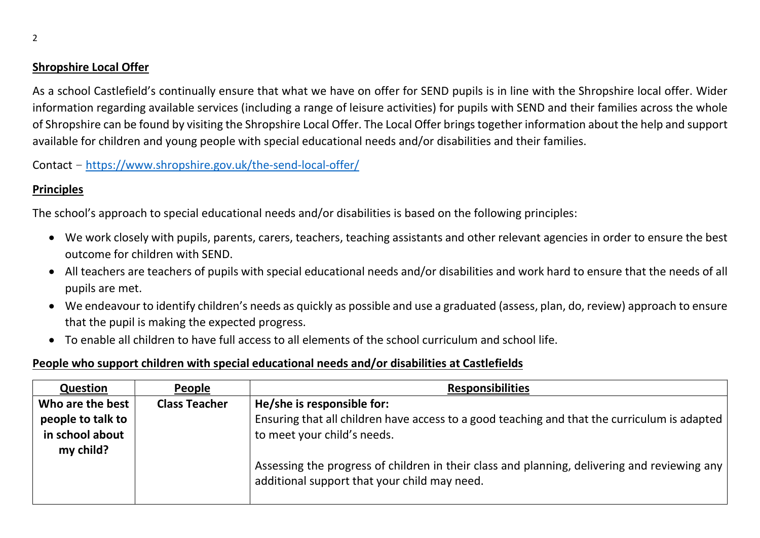### Shropshire Local Offer

As a school Castlefield's continually ensure that what we have on offer for SEND pupils is in line with the Shropshire local offer. Wider information regarding available services (including a range of leisure activities) for pupils with SEND and their families across the whole of Shropshire can be found by visiting the Shropshire Local Offer. The Local Offer brings together information about the help and support available for children and young people with special educational needs and/or disabilities and their families.

Contact – https://www.shropshire.gov.uk/the-send-local-offer/

## **Principles**

The school's approach to special educational needs and/or disabilities is based on the following principles:

- We work closely with pupils, parents, carers, teachers, teaching assistants and other relevant agencies in order to ensure the best outcome for children with SEND.
- All teachers are teachers of pupils with special educational needs and/or disabilities and work hard to ensure that the needs of all pupils are met.
- We endeavour to identify children's needs as quickly as possible and use a graduated (assess, plan, do, review) approach to ensure that the pupil is making the expected progress.
- To enable all children to have full access to all elements of the school curriculum and school life.

#### People who support children with special educational needs and/or disabilities at Castlefields

| Question                                                 | People               | <b>Responsibilities</b>                                                                                                                                   |
|----------------------------------------------------------|----------------------|-----------------------------------------------------------------------------------------------------------------------------------------------------------|
| Who are the best<br>people to talk to<br>in school about | <b>Class Teacher</b> | He/she is responsible for:<br>Ensuring that all children have access to a good teaching and that the curriculum is adapted<br>to meet your child's needs. |
| my child?                                                |                      | Assessing the progress of children in their class and planning, delivering and reviewing any<br>additional support that your child may need.              |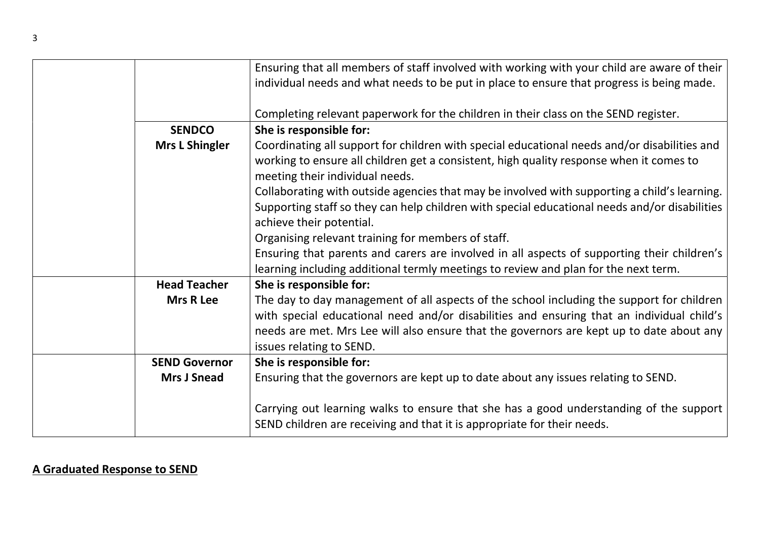| Ensuring that all members of staff involved with working with your child are aware of their<br>individual needs and what needs to be put in place to ensure that progress is being made. |  |
|------------------------------------------------------------------------------------------------------------------------------------------------------------------------------------------|--|
|                                                                                                                                                                                          |  |
|                                                                                                                                                                                          |  |
| Completing relevant paperwork for the children in their class on the SEND register.                                                                                                      |  |
| <b>SENDCO</b><br>She is responsible for:                                                                                                                                                 |  |
| <b>Mrs L Shingler</b><br>Coordinating all support for children with special educational needs and/or disabilities and                                                                    |  |
| working to ensure all children get a consistent, high quality response when it comes to<br>meeting their individual needs.                                                               |  |
| Collaborating with outside agencies that may be involved with supporting a child's learning.                                                                                             |  |
| Supporting staff so they can help children with special educational needs and/or disabilities                                                                                            |  |
| achieve their potential.                                                                                                                                                                 |  |
| Organising relevant training for members of staff.                                                                                                                                       |  |
| Ensuring that parents and carers are involved in all aspects of supporting their children's                                                                                              |  |
| learning including additional termly meetings to review and plan for the next term.                                                                                                      |  |
| <b>Head Teacher</b><br>She is responsible for:                                                                                                                                           |  |
| The day to day management of all aspects of the school including the support for children<br><b>Mrs R Lee</b>                                                                            |  |
| with special educational need and/or disabilities and ensuring that an individual child's                                                                                                |  |
| needs are met. Mrs Lee will also ensure that the governors are kept up to date about any                                                                                                 |  |
| issues relating to SEND.                                                                                                                                                                 |  |
| She is responsible for:<br><b>SEND Governor</b>                                                                                                                                          |  |
| Ensuring that the governors are kept up to date about any issues relating to SEND.<br><b>Mrs J Snead</b>                                                                                 |  |
| Carrying out learning walks to ensure that she has a good understanding of the support<br>SEND children are receiving and that it is appropriate for their needs.                        |  |

## A Graduated Response to SEND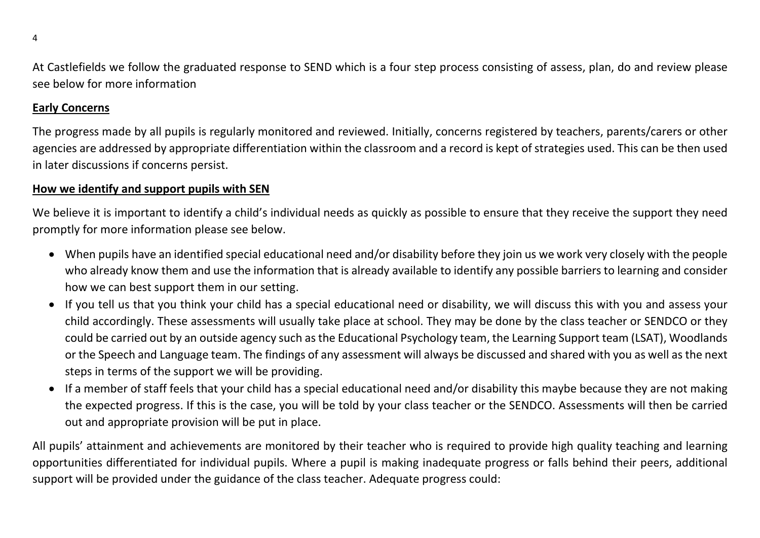At Castlefields we follow the graduated response to SEND which is a four step process consisting of assess, plan, do and review please see below for more information

#### Early Concerns

The progress made by all pupils is regularly monitored and reviewed. Initially, concerns registered by teachers, parents/carers or other agencies are addressed by appropriate differentiation within the classroom and a record is kept of strategies used. This can be then used in later discussions if concerns persist.

#### How we identify and support pupils with SEN

We believe it is important to identify a child's individual needs as quickly as possible to ensure that they receive the support they need promptly for more information please see below.

- When pupils have an identified special educational need and/or disability before they join us we work very closely with the people who already know them and use the information that is already available to identify any possible barriers to learning and consider how we can best support them in our setting.
- If you tell us that you think your child has a special educational need or disability, we will discuss this with you and assess your child accordingly. These assessments will usually take place at school. They may be done by the class teacher or SENDCO or they could be carried out by an outside agency such as the Educational Psychology team, the Learning Support team (LSAT), Woodlands or the Speech and Language team. The findings of any assessment will always be discussed and shared with you as well as the next steps in terms of the support we will be providing.
- If a member of staff feels that your child has a special educational need and/or disability this maybe because they are not making the expected progress. If this is the case, you will be told by your class teacher or the SENDCO. Assessments will then be carried out and appropriate provision will be put in place.

All pupils' attainment and achievements are monitored by their teacher who is required to provide high quality teaching and learning opportunities differentiated for individual pupils. Where a pupil is making inadequate progress or falls behind their peers, additional support will be provided under the guidance of the class teacher. Adequate progress could: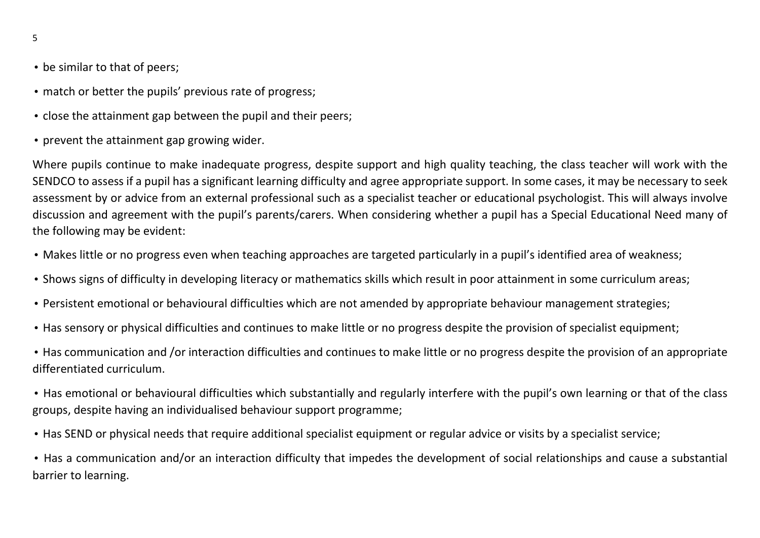- be similar to that of peers;
- match or better the pupils' previous rate of progress;
- close the attainment gap between the pupil and their peers;
- prevent the attainment gap growing wider.

Where pupils continue to make inadequate progress, despite support and high quality teaching, the class teacher will work with the SENDCO to assess if a pupil has a significant learning difficulty and agree appropriate support. In some cases, it may be necessary to seek assessment by or advice from an external professional such as a specialist teacher or educational psychologist. This will always involve discussion and agreement with the pupil's parents/carers. When considering whether a pupil has a Special Educational Need many of the following may be evident:

- Makes little or no progress even when teaching approaches are targeted particularly in a pupil's identified area of weakness;
- Shows signs of difficulty in developing literacy or mathematics skills which result in poor attainment in some curriculum areas;
- Persistent emotional or behavioural difficulties which are not amended by appropriate behaviour management strategies;
- Has sensory or physical difficulties and continues to make little or no progress despite the provision of specialist equipment;
- Has communication and /or interaction difficulties and continues to make little or no progress despite the provision of an appropriate differentiated curriculum.
- Has emotional or behavioural difficulties which substantially and regularly interfere with the pupil's own learning or that of the class groups, despite having an individualised behaviour support programme;
- Has SEND or physical needs that require additional specialist equipment or regular advice or visits by a specialist service;

• Has a communication and/or an interaction difficulty that impedes the development of social relationships and cause a substantial barrier to learning.

5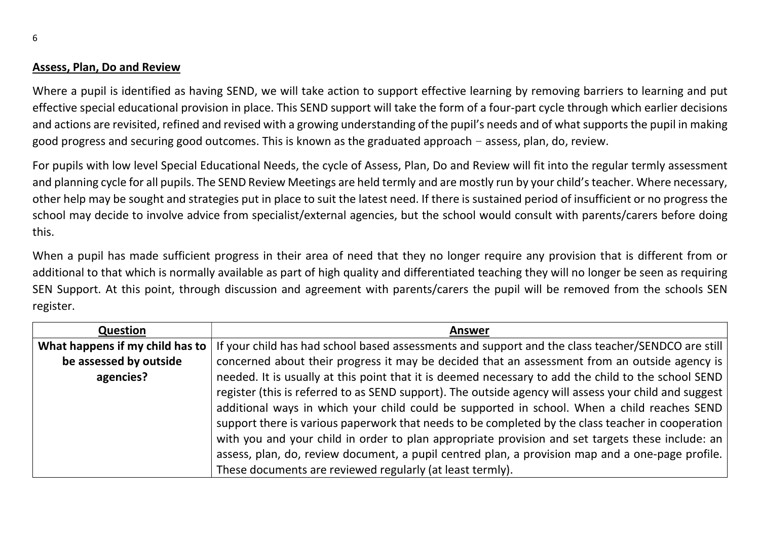#### Assess, Plan, Do and Review

Where a pupil is identified as having SEND, we will take action to support effective learning by removing barriers to learning and put effective special educational provision in place. This SEND support will take the form of a four-part cycle through which earlier decisions and actions are revisited, refined and revised with a growing understanding of the pupil's needs and of what supports the pupil in making good progress and securing good outcomes. This is known as the graduated approach – assess, plan, do, review.

For pupils with low level Special Educational Needs, the cycle of Assess, Plan, Do and Review will fit into the regular termly assessment and planning cycle for all pupils. The SEND Review Meetings are held termly and are mostly run by your child's teacher. Where necessary, other help may be sought and strategies put in place to suit the latest need. If there is sustained period of insufficient or no progress the school may decide to involve advice from specialist/external agencies, but the school would consult with parents/carers before doing this.

When a pupil has made sufficient progress in their area of need that they no longer require any provision that is different from or additional to that which is normally available as part of high quality and differentiated teaching they will no longer be seen as requiring SEN Support. At this point, through discussion and agreement with parents/carers the pupil will be removed from the schools SEN register.

| <b>Question</b>                 | <b>Answer</b>                                                                                         |
|---------------------------------|-------------------------------------------------------------------------------------------------------|
| What happens if my child has to | If your child has had school based assessments and support and the class teacher/SENDCO are still     |
| be assessed by outside          | concerned about their progress it may be decided that an assessment from an outside agency is         |
| agencies?                       | needed. It is usually at this point that it is deemed necessary to add the child to the school SEND   |
|                                 | register (this is referred to as SEND support). The outside agency will assess your child and suggest |
|                                 | additional ways in which your child could be supported in school. When a child reaches SEND           |
|                                 | support there is various paperwork that needs to be completed by the class teacher in cooperation     |
|                                 | with you and your child in order to plan appropriate provision and set targets these include: an      |
|                                 | assess, plan, do, review document, a pupil centred plan, a provision map and a one-page profile.      |
|                                 | These documents are reviewed regularly (at least termly).                                             |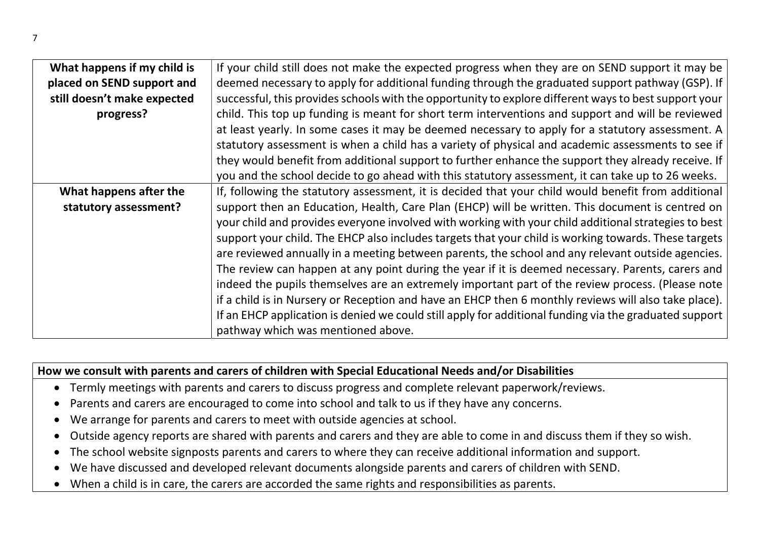| What happens if my child is | If your child still does not make the expected progress when they are on SEND support it may be        |
|-----------------------------|--------------------------------------------------------------------------------------------------------|
| placed on SEND support and  | deemed necessary to apply for additional funding through the graduated support pathway (GSP). If       |
| still doesn't make expected | successful, this provides schools with the opportunity to explore different ways to best support your  |
| progress?                   | child. This top up funding is meant for short term interventions and support and will be reviewed      |
|                             | at least yearly. In some cases it may be deemed necessary to apply for a statutory assessment. A       |
|                             | statutory assessment is when a child has a variety of physical and academic assessments to see if      |
|                             | they would benefit from additional support to further enhance the support they already receive. If     |
|                             | you and the school decide to go ahead with this statutory assessment, it can take up to 26 weeks.      |
| What happens after the      | If, following the statutory assessment, it is decided that your child would benefit from additional    |
| statutory assessment?       | support then an Education, Health, Care Plan (EHCP) will be written. This document is centred on       |
|                             | your child and provides everyone involved with working with your child additional strategies to best   |
|                             | support your child. The EHCP also includes targets that your child is working towards. These targets   |
|                             | are reviewed annually in a meeting between parents, the school and any relevant outside agencies.      |
|                             | The review can happen at any point during the year if it is deemed necessary. Parents, carers and      |
|                             | indeed the pupils themselves are an extremely important part of the review process. (Please note       |
|                             | if a child is in Nursery or Reception and have an EHCP then 6 monthly reviews will also take place).   |
|                             | If an EHCP application is denied we could still apply for additional funding via the graduated support |
|                             | pathway which was mentioned above.                                                                     |

### How we consult with parents and carers of children with Special Educational Needs and/or Disabilities

- Termly meetings with parents and carers to discuss progress and complete relevant paperwork/reviews.
- Parents and carers are encouraged to come into school and talk to us if they have any concerns.
- We arrange for parents and carers to meet with outside agencies at school.
- Outside agency reports are shared with parents and carers and they are able to come in and discuss them if they so wish.
- The school website signposts parents and carers to where they can receive additional information and support.
- We have discussed and developed relevant documents alongside parents and carers of children with SEND.
- When a child is in care, the carers are accorded the same rights and responsibilities as parents.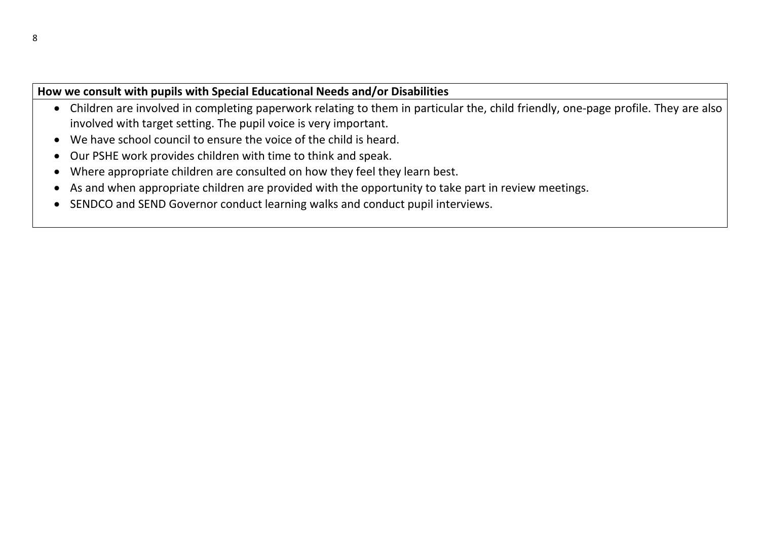#### How we consult with pupils with Special Educational Needs and/or Disabilities

- Children are involved in completing paperwork relating to them in particular the, child friendly, one-page profile. They are also involved with target setting. The pupil voice is very important.
- We have school council to ensure the voice of the child is heard.
- Our PSHE work provides children with time to think and speak.
- Where appropriate children are consulted on how they feel they learn best.
- As and when appropriate children are provided with the opportunity to take part in review meetings.
- SENDCO and SEND Governor conduct learning walks and conduct pupil interviews.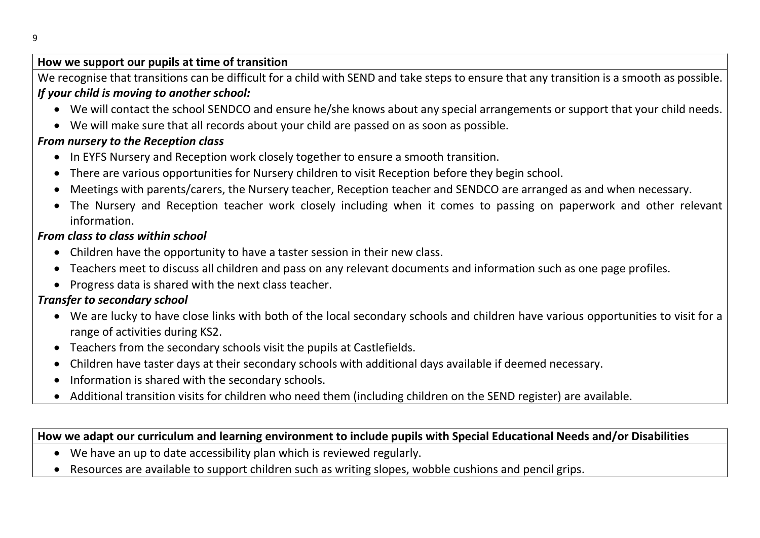#### Ē How we support our pupils at time of transition

We recognise that transitions can be difficult for a child with SEND and take steps to ensure that any transition is a smooth as possible. If your child is moving to another school:

- We will contact the school SENDCO and ensure he/she knows about any special arrangements or support that your child needs.
- We will make sure that all records about your child are passed on as soon as possible.

### From nursery to the Reception class

- In EYFS Nursery and Reception work closely together to ensure a smooth transition.
- There are various opportunities for Nursery children to visit Reception before they begin school.
- Meetings with parents/carers, the Nursery teacher, Reception teacher and SENDCO are arranged as and when necessary.
- The Nursery and Reception teacher work closely including when it comes to passing on paperwork and other relevant information.

#### From class to class within school

- Children have the opportunity to have a taster session in their new class.
- Teachers meet to discuss all children and pass on any relevant documents and information such as one page profiles.
- Progress data is shared with the next class teacher.

### Transfer to secondary school

- We are lucky to have close links with both of the local secondary schools and children have various opportunities to visit for a range of activities during KS2.
- Teachers from the secondary schools visit the pupils at Castlefields.
- Children have taster days at their secondary schools with additional days available if deemed necessary.
- Information is shared with the secondary schools.
- Additional transition visits for children who need them (including children on the SEND register) are available.

How we adapt our curriculum and learning environment to include pupils with Special Educational Needs and/or Disabilities

- We have an up to date accessibility plan which is reviewed regularly.
- Resources are available to support children such as writing slopes, wobble cushions and pencil grips.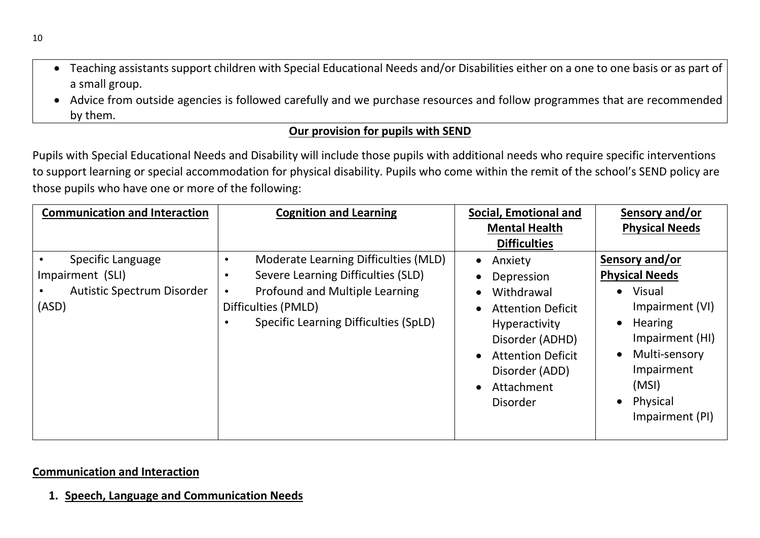- Teaching assistants support children with Special Educational Needs and/or Disabilities either on a one to one basis or as part of a small group.
- Advice from outside agencies is followed carefully and we purchase resources and follow programmes that are recommended by them.

#### Our provision for pupils with SEND

Pupils with Special Educational Needs and Disability will include those pupils with additional needs who require specific interventions to support learning or special accommodation for physical disability. Pupils who come within the remit of the school's SEND policy are those pupils who have one or more of the following:

| <b>Communication and Interaction</b>                                                | <b>Cognition and Learning</b>                                                                                                                                                             | Social, Emotional and                                                                                                                                                                           | Sensory and/or                                                                                                                                                                                                          |
|-------------------------------------------------------------------------------------|-------------------------------------------------------------------------------------------------------------------------------------------------------------------------------------------|-------------------------------------------------------------------------------------------------------------------------------------------------------------------------------------------------|-------------------------------------------------------------------------------------------------------------------------------------------------------------------------------------------------------------------------|
|                                                                                     |                                                                                                                                                                                           | <b>Mental Health</b><br><b>Difficulties</b>                                                                                                                                                     | <b>Physical Needs</b>                                                                                                                                                                                                   |
| Specific Language<br>Impairment (SLI)<br><b>Autistic Spectrum Disorder</b><br>(ASD) | Moderate Learning Difficulties (MLD)<br>Severe Learning Difficulties (SLD)<br>$\bullet$<br>Profound and Multiple Learning<br>Difficulties (PMLD)<br>Specific Learning Difficulties (SpLD) | Anxiety<br>$\bullet$<br>Depression<br>Withdrawal<br><b>Attention Deficit</b><br><b>Hyperactivity</b><br>Disorder (ADHD)<br><b>Attention Deficit</b><br>Disorder (ADD)<br>Attachment<br>Disorder | Sensory and/or<br><b>Physical Needs</b><br>Visual<br>$\bullet$<br>Impairment (VI)<br><b>Hearing</b><br>$\bullet$<br>Impairment (HI)<br>Multi-sensory<br>$\bullet$<br>Impairment<br>(MSI)<br>Physical<br>Impairment (PI) |

#### Communication and Interaction

1. Speech, Language and Communication Needs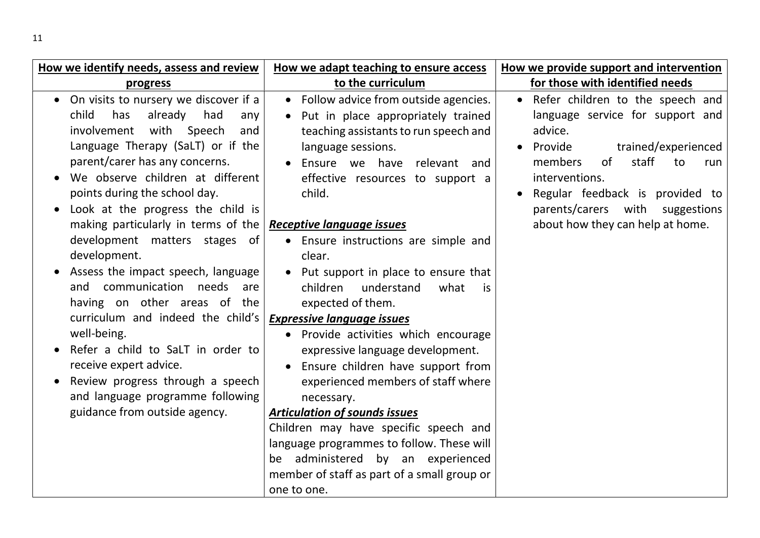| How we identify needs, assess and review                                                                                                                                                                                                                                                                                                                                                                                                                                                                                                                                                                                                                                                                                        | How we adapt teaching to ensure access                                                                                                                                                                                                                                                                                                                                                                                                                                                                                                                                                                                                                                                                                                                                                                                                                        | How we provide support and intervention                                                                                                                                                                                                                                              |
|---------------------------------------------------------------------------------------------------------------------------------------------------------------------------------------------------------------------------------------------------------------------------------------------------------------------------------------------------------------------------------------------------------------------------------------------------------------------------------------------------------------------------------------------------------------------------------------------------------------------------------------------------------------------------------------------------------------------------------|---------------------------------------------------------------------------------------------------------------------------------------------------------------------------------------------------------------------------------------------------------------------------------------------------------------------------------------------------------------------------------------------------------------------------------------------------------------------------------------------------------------------------------------------------------------------------------------------------------------------------------------------------------------------------------------------------------------------------------------------------------------------------------------------------------------------------------------------------------------|--------------------------------------------------------------------------------------------------------------------------------------------------------------------------------------------------------------------------------------------------------------------------------------|
| progress                                                                                                                                                                                                                                                                                                                                                                                                                                                                                                                                                                                                                                                                                                                        | to the curriculum                                                                                                                                                                                                                                                                                                                                                                                                                                                                                                                                                                                                                                                                                                                                                                                                                                             | for those with identified needs                                                                                                                                                                                                                                                      |
| • On visits to nursery we discover if a<br>already had<br>child<br>has<br>any<br>with Speech<br>involvement<br>and<br>Language Therapy (SaLT) or if the<br>parent/carer has any concerns.<br>We observe children at different<br>points during the school day.<br>Look at the progress the child is<br>making particularly in terms of the<br>development matters stages of<br>development.<br>Assess the impact speech, language<br>and communication needs<br>are<br>having on other areas of the<br>curriculum and indeed the child's<br>well-being.<br>Refer a child to SaLT in order to<br>receive expert advice.<br>Review progress through a speech<br>and language programme following<br>guidance from outside agency. | • Follow advice from outside agencies.<br>Put in place appropriately trained<br>$\bullet$<br>teaching assistants to run speech and<br>language sessions.<br>• Ensure we have relevant and<br>effective resources to support a<br>child.<br><b>Receptive language issues</b><br>• Ensure instructions are simple and<br>clear.<br>Put support in place to ensure that<br>children<br>understand<br>what<br>is<br>expected of them.<br><b>Expressive language issues</b><br>• Provide activities which encourage<br>expressive language development.<br>Ensure children have support from<br>experienced members of staff where<br>necessary.<br><b>Articulation of sounds issues</b><br>Children may have specific speech and<br>language programmes to follow. These will<br>be administered by an experienced<br>member of staff as part of a small group or | Refer children to the speech and<br>language service for support and<br>advice.<br>Provide<br>trained/experienced<br>of<br>staff<br>members<br>to<br>run<br>interventions.<br>Regular feedback is provided to<br>parents/carers with suggestions<br>about how they can help at home. |
|                                                                                                                                                                                                                                                                                                                                                                                                                                                                                                                                                                                                                                                                                                                                 | one to one.                                                                                                                                                                                                                                                                                                                                                                                                                                                                                                                                                                                                                                                                                                                                                                                                                                                   |                                                                                                                                                                                                                                                                                      |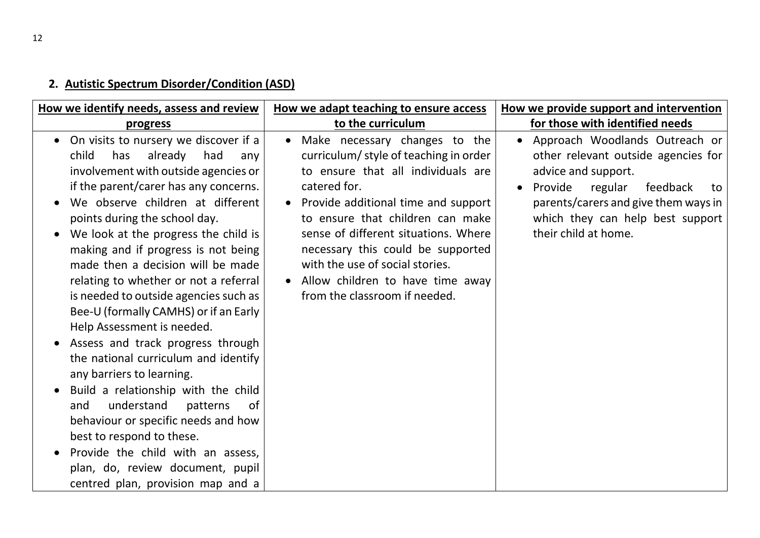# 2. Autistic Spectrum Disorder/Condition (ASD)

| How we identify needs, assess and review                                                                                                                                                                                                                                                                                                                                                                                                                                                                                                                                                                                                                                                                                                                                                                                                                                                                 | How we adapt teaching to ensure access                                                                                                                                                                                                                                                                                                                                                                      | How we provide support and intervention                                                                                                                                                                                                               |
|----------------------------------------------------------------------------------------------------------------------------------------------------------------------------------------------------------------------------------------------------------------------------------------------------------------------------------------------------------------------------------------------------------------------------------------------------------------------------------------------------------------------------------------------------------------------------------------------------------------------------------------------------------------------------------------------------------------------------------------------------------------------------------------------------------------------------------------------------------------------------------------------------------|-------------------------------------------------------------------------------------------------------------------------------------------------------------------------------------------------------------------------------------------------------------------------------------------------------------------------------------------------------------------------------------------------------------|-------------------------------------------------------------------------------------------------------------------------------------------------------------------------------------------------------------------------------------------------------|
| progress                                                                                                                                                                                                                                                                                                                                                                                                                                                                                                                                                                                                                                                                                                                                                                                                                                                                                                 | to the curriculum                                                                                                                                                                                                                                                                                                                                                                                           | for those with identified needs                                                                                                                                                                                                                       |
| On visits to nursery we discover if a<br>$\bullet$<br>child<br>has<br>already<br>had<br>any<br>involvement with outside agencies or<br>if the parent/carer has any concerns.<br>We observe children at different<br>points during the school day.<br>We look at the progress the child is<br>making and if progress is not being<br>made then a decision will be made<br>relating to whether or not a referral<br>is needed to outside agencies such as<br>Bee-U (formally CAMHS) or if an Early<br>Help Assessment is needed.<br>Assess and track progress through<br>the national curriculum and identify<br>any barriers to learning.<br>Build a relationship with the child<br>understand<br>patterns<br>and<br>0f<br>behaviour or specific needs and how<br>best to respond to these.<br>Provide the child with an assess,<br>plan, do, review document, pupil<br>centred plan, provision map and a | Make necessary changes to the<br>$\bullet$<br>curriculum/style of teaching in order<br>to ensure that all individuals are<br>catered for.<br>• Provide additional time and support<br>to ensure that children can make<br>sense of different situations. Where<br>necessary this could be supported<br>with the use of social stories.<br>Allow children to have time away<br>from the classroom if needed. | Approach Woodlands Outreach or<br>other relevant outside agencies for<br>advice and support.<br>Provide<br>regular<br>feedback<br>to<br>$\bullet$<br>parents/carers and give them ways in<br>which they can help best support<br>their child at home. |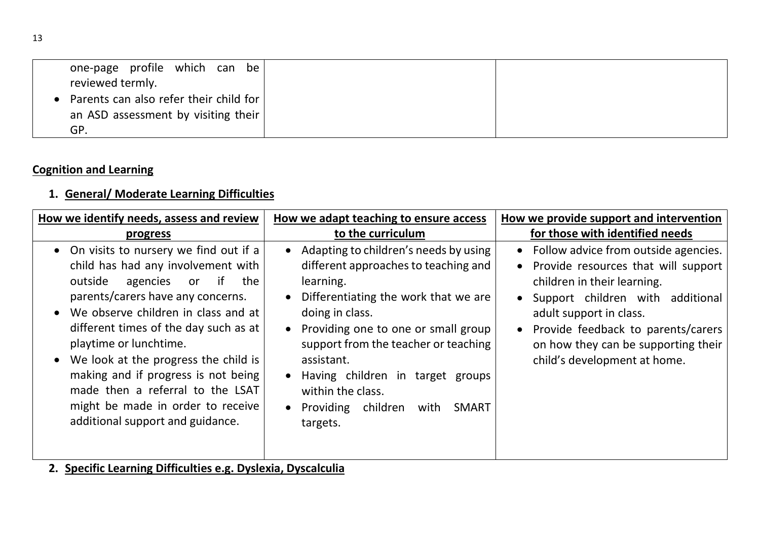| one-page profile which can be<br>reviewed termly. |  |
|---------------------------------------------------|--|
| • Parents can also refer their child for          |  |
| an ASD assessment by visiting their               |  |
| GP.                                               |  |

## Cognition and Learning

## 1. General/ Moderate Learning Difficulties

| How we identify needs, assess and review                                                                                                                                                                                                                                                                                                                                                                                                                                | How we adapt teaching to ensure access                                                                                                                                                                                                                                                                                                                                | How we provide support and intervention                                                                                                                                                                                                                                                  |
|-------------------------------------------------------------------------------------------------------------------------------------------------------------------------------------------------------------------------------------------------------------------------------------------------------------------------------------------------------------------------------------------------------------------------------------------------------------------------|-----------------------------------------------------------------------------------------------------------------------------------------------------------------------------------------------------------------------------------------------------------------------------------------------------------------------------------------------------------------------|------------------------------------------------------------------------------------------------------------------------------------------------------------------------------------------------------------------------------------------------------------------------------------------|
| <u>progress</u>                                                                                                                                                                                                                                                                                                                                                                                                                                                         | to the curriculum                                                                                                                                                                                                                                                                                                                                                     | for those with identified needs                                                                                                                                                                                                                                                          |
| On visits to nursery we find out if a<br>child has had any involvement with<br>outside<br>if<br>agencies<br>the<br><b>or</b><br>parents/carers have any concerns.<br>We observe children in class and at<br>different times of the day such as at<br>playtime or lunchtime.<br>We look at the progress the child is<br>making and if progress is not being<br>made then a referral to the LSAT<br>might be made in order to receive<br>additional support and guidance. | Adapting to children's needs by using<br>different approaches to teaching and<br>learning.<br>Differentiating the work that we are<br>doing in class.<br>Providing one to one or small group<br>support from the teacher or teaching<br>assistant.<br>Having children in target groups<br>within the class.<br>Providing children<br><b>SMART</b><br>with<br>targets. | • Follow advice from outside agencies.<br>Provide resources that will support<br>children in their learning.<br>Support children with additional<br>adult support in class.<br>Provide feedback to parents/carers<br>on how they can be supporting their<br>child's development at home. |

2. Specific Learning Difficulties e.g. Dyslexia, Dyscalculia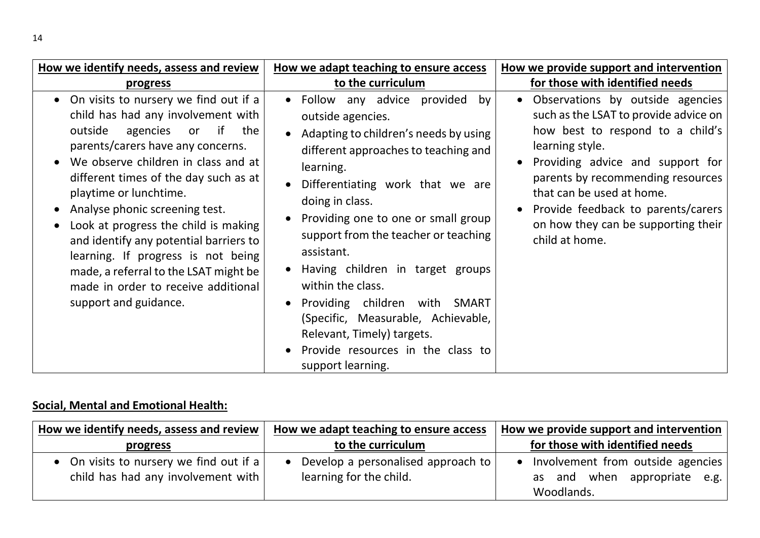| How we identify needs, assess and review                                                                                                                                                                                                                                                                                                                                                                                                                                                                                            | How we adapt teaching to ensure access                                                                                                                                                                                                                                                                                                                                                                                                                                                                                            | How we provide support and intervention                                                                                                                                                                                                                                                                                                 |
|-------------------------------------------------------------------------------------------------------------------------------------------------------------------------------------------------------------------------------------------------------------------------------------------------------------------------------------------------------------------------------------------------------------------------------------------------------------------------------------------------------------------------------------|-----------------------------------------------------------------------------------------------------------------------------------------------------------------------------------------------------------------------------------------------------------------------------------------------------------------------------------------------------------------------------------------------------------------------------------------------------------------------------------------------------------------------------------|-----------------------------------------------------------------------------------------------------------------------------------------------------------------------------------------------------------------------------------------------------------------------------------------------------------------------------------------|
| <b>progress</b>                                                                                                                                                                                                                                                                                                                                                                                                                                                                                                                     | to the curriculum                                                                                                                                                                                                                                                                                                                                                                                                                                                                                                                 | for those with identified needs                                                                                                                                                                                                                                                                                                         |
| • On visits to nursery we find out if a<br>child has had any involvement with<br>outside<br>if the<br>agencies or<br>parents/carers have any concerns.<br>We observe children in class and at<br>different times of the day such as at<br>playtime or lunchtime.<br>Analyse phonic screening test.<br>Look at progress the child is making<br>and identify any potential barriers to<br>learning. If progress is not being<br>made, a referral to the LSAT might be<br>made in order to receive additional<br>support and guidance. | • Follow any advice provided<br>by<br>outside agencies.<br>Adapting to children's needs by using<br>different approaches to teaching and<br>learning.<br>Differentiating work that we are<br>doing in class.<br>Providing one to one or small group<br>support from the teacher or teaching<br>assistant.<br>Having children in target groups<br>within the class.<br>Providing children with SMART<br>(Specific, Measurable, Achievable,<br>Relevant, Timely) targets.<br>Provide resources in the class to<br>support learning. | • Observations by outside agencies<br>such as the LSAT to provide advice on<br>how best to respond to a child's<br>learning style.<br>Providing advice and support for<br>parents by recommending resources<br>that can be used at home.<br>Provide feedback to parents/carers<br>on how they can be supporting their<br>child at home. |

## Social, Mental and Emotional Health:

| How we identify needs, assess and review                                      | How we adapt teaching to ensure access                        | How we provide support and intervention                                         |
|-------------------------------------------------------------------------------|---------------------------------------------------------------|---------------------------------------------------------------------------------|
| progress                                                                      | to the curriculum                                             | for those with identified needs                                                 |
| • On visits to nursery we find out if a<br>child has had any involvement with | Develop a personalised approach to<br>learning for the child. | Involvement from outside agencies<br>as and when appropriate e.g.<br>Woodlands. |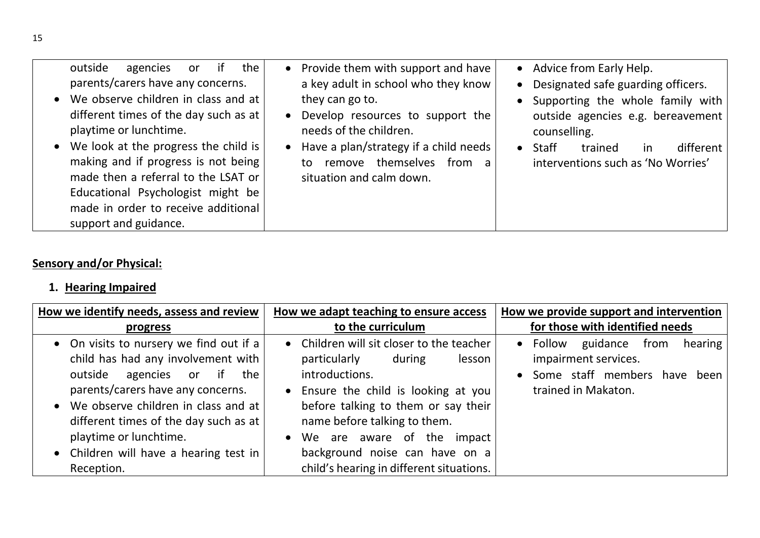| outside<br>the<br>if<br>agencies<br>or<br>parents/carers have any concerns.<br>We observe children in class and at<br>different times of the day such as at<br>playtime or lunchtime.<br>• We look at the progress the child is<br>making and if progress is not being<br>made then a referral to the LSAT or<br>Educational Psychologist might be<br>made in order to receive additional<br>support and guidance. | Provide them with support and have<br>$\bullet$<br>a key adult in school who they know<br>they can go to.<br>Develop resources to support the<br>$\bullet$<br>needs of the children.<br>Have a plan/strategy if a child needs<br>$\bullet$<br>remove themselves<br>from a<br>to.<br>situation and calm down. | • Advice from Early Help.<br>• Designated safe guarding officers.<br>• Supporting the whole family with<br>outside agencies e.g. bereavement<br>counselling.<br>$\bullet$ Staff<br>different<br>trained<br>in<br>interventions such as 'No Worries' |
|--------------------------------------------------------------------------------------------------------------------------------------------------------------------------------------------------------------------------------------------------------------------------------------------------------------------------------------------------------------------------------------------------------------------|--------------------------------------------------------------------------------------------------------------------------------------------------------------------------------------------------------------------------------------------------------------------------------------------------------------|-----------------------------------------------------------------------------------------------------------------------------------------------------------------------------------------------------------------------------------------------------|
|--------------------------------------------------------------------------------------------------------------------------------------------------------------------------------------------------------------------------------------------------------------------------------------------------------------------------------------------------------------------------------------------------------------------|--------------------------------------------------------------------------------------------------------------------------------------------------------------------------------------------------------------------------------------------------------------------------------------------------------------|-----------------------------------------------------------------------------------------------------------------------------------------------------------------------------------------------------------------------------------------------------|

# Sensory and/or Physical:

# 1. Hearing Impaired

| How we identify needs, assess and review                                                                                                                                                                                                                           | How we adapt teaching to ensure access                                                                                                                                                                                                                               | How we provide support and intervention                                                                                   |
|--------------------------------------------------------------------------------------------------------------------------------------------------------------------------------------------------------------------------------------------------------------------|----------------------------------------------------------------------------------------------------------------------------------------------------------------------------------------------------------------------------------------------------------------------|---------------------------------------------------------------------------------------------------------------------------|
| progress                                                                                                                                                                                                                                                           | to the curriculum                                                                                                                                                                                                                                                    | for those with identified needs                                                                                           |
| • On visits to nursery we find out if a<br>child has had any involvement with<br>outside<br>agencies or if<br>the<br>parents/carers have any concerns.<br>• We observe children in class and at<br>different times of the day such as at<br>playtime or lunchtime. | • Children will sit closer to the teacher<br>particularly<br>during<br>lesson<br>introductions.<br>Ensure the child is looking at you<br>$\bullet$<br>before talking to them or say their<br>name before talking to them.<br>We are aware of the impact<br>$\bullet$ | guidance<br>• Follow<br>from<br>hearing<br>impairment services.<br>Some staff members have<br>been<br>trained in Makaton. |
| • Children will have a hearing test in                                                                                                                                                                                                                             | background noise can have on a                                                                                                                                                                                                                                       |                                                                                                                           |
| Reception.                                                                                                                                                                                                                                                         | child's hearing in different situations.                                                                                                                                                                                                                             |                                                                                                                           |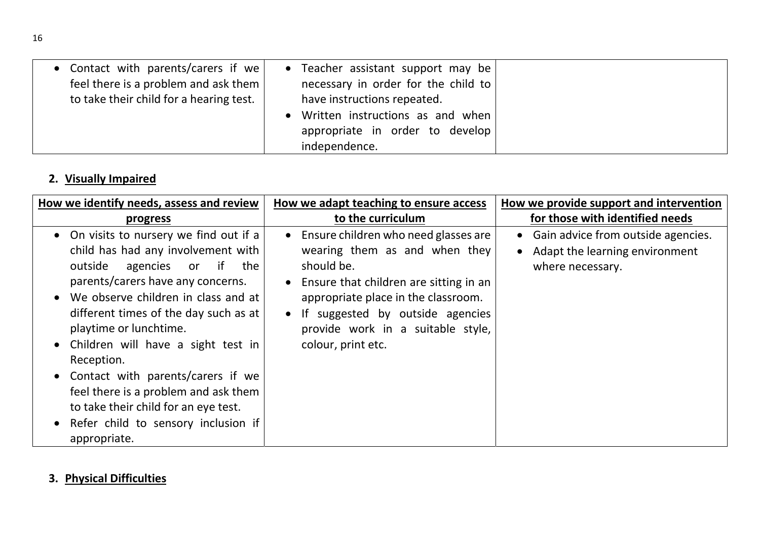| • Contact with parents/carers if we<br>feel there is a problem and ask them $ $<br>to take their child for a hearing test. | • Teacher assistant support may be<br>necessary in order for the child to<br>have instructions repeated. |
|----------------------------------------------------------------------------------------------------------------------------|----------------------------------------------------------------------------------------------------------|
|                                                                                                                            | Written instructions as and when<br>appropriate in order to develop                                      |
|                                                                                                                            | independence.                                                                                            |

# 2. Visually Impaired

| How we identify needs, assess and review                                                                                                                                                                                                                                                                                                                                                                                                                                                                    | How we adapt teaching to ensure access                                                                                                                                                                                                                                                        | How we provide support and intervention                                                      |
|-------------------------------------------------------------------------------------------------------------------------------------------------------------------------------------------------------------------------------------------------------------------------------------------------------------------------------------------------------------------------------------------------------------------------------------------------------------------------------------------------------------|-----------------------------------------------------------------------------------------------------------------------------------------------------------------------------------------------------------------------------------------------------------------------------------------------|----------------------------------------------------------------------------------------------|
| <u>progress</u>                                                                                                                                                                                                                                                                                                                                                                                                                                                                                             | to the curriculum                                                                                                                                                                                                                                                                             | for those with identified needs                                                              |
| On visits to nursery we find out if a<br>child has had any involvement with<br>if<br>outside<br>the<br>agencies<br><b>or</b><br>parents/carers have any concerns.<br>We observe children in class and at<br>different times of the day such as at<br>playtime or lunchtime.<br>Children will have a sight test in<br>Reception.<br>Contact with parents/carers if we<br>feel there is a problem and ask them<br>to take their child for an eye test.<br>Refer child to sensory inclusion if<br>appropriate. | Ensure children who need glasses are<br>$\bullet$<br>wearing them as and when they<br>should be.<br>Ensure that children are sitting in an<br>appropriate place in the classroom.<br>If suggested by outside agencies<br>$\bullet$<br>provide work in a suitable style,<br>colour, print etc. | • Gain advice from outside agencies.<br>• Adapt the learning environment<br>where necessary. |

## 3. Physical Difficulties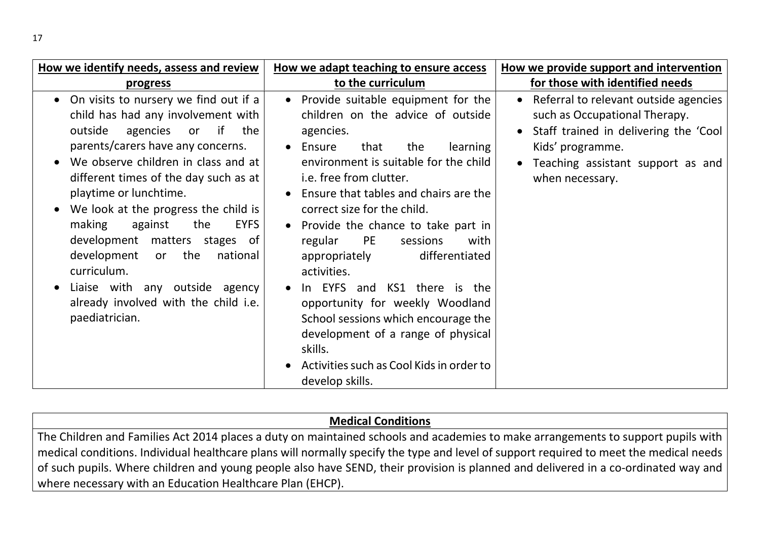| How we identify needs, assess and review                                                                                                                                                                                                                                                                                                                                                                                                                                                                                                           | How we adapt teaching to ensure access                                                                                                                                                                                                                                                                                                                                                                                                                                                                                                                                                                                                               | How we provide support and intervention                                                                                                                                                     |
|----------------------------------------------------------------------------------------------------------------------------------------------------------------------------------------------------------------------------------------------------------------------------------------------------------------------------------------------------------------------------------------------------------------------------------------------------------------------------------------------------------------------------------------------------|------------------------------------------------------------------------------------------------------------------------------------------------------------------------------------------------------------------------------------------------------------------------------------------------------------------------------------------------------------------------------------------------------------------------------------------------------------------------------------------------------------------------------------------------------------------------------------------------------------------------------------------------------|---------------------------------------------------------------------------------------------------------------------------------------------------------------------------------------------|
| <b>progress</b>                                                                                                                                                                                                                                                                                                                                                                                                                                                                                                                                    | to the curriculum                                                                                                                                                                                                                                                                                                                                                                                                                                                                                                                                                                                                                                    | for those with identified needs                                                                                                                                                             |
| On visits to nursery we find out if a<br>child has had any involvement with<br>the<br>outside<br>agencies<br>if<br><b>or</b><br>parents/carers have any concerns.<br>We observe children in class and at<br>different times of the day such as at<br>playtime or lunchtime.<br>We look at the progress the child is<br>making<br>the<br><b>EYFS</b><br>against<br>development matters stages of<br>the<br>development<br>national<br>or<br>curriculum.<br>Liaise with any outside agency<br>already involved with the child i.e.<br>paediatrician. | • Provide suitable equipment for the<br>children on the advice of outside<br>agencies.<br>Ensure<br>that<br>the<br>learning<br>$\bullet$<br>environment is suitable for the child<br>i.e. free from clutter.<br>Ensure that tables and chairs are the<br>correct size for the child.<br>• Provide the chance to take part in<br><b>PE</b><br>regular<br>sessions<br>with<br>differentiated<br>appropriately<br>activities.<br>In EYFS and KS1 there is the<br>opportunity for weekly Woodland<br>School sessions which encourage the<br>development of a range of physical<br>skills.<br>Activities such as Cool Kids in order to<br>develop skills. | Referral to relevant outside agencies<br>such as Occupational Therapy.<br>Staff trained in delivering the 'Cool<br>Kids' programme.<br>Teaching assistant support as and<br>when necessary. |

#### Medical Conditions

The Children and Families Act 2014 places a duty on maintained schools and academies to make arrangements to support pupils with medical conditions. Individual healthcare plans will normally specify the type and level of support required to meet the medical needs of such pupils. Where children and young people also have SEND, their provision is planned and delivered in a co-ordinated way and where necessary with an Education Healthcare Plan (EHCP).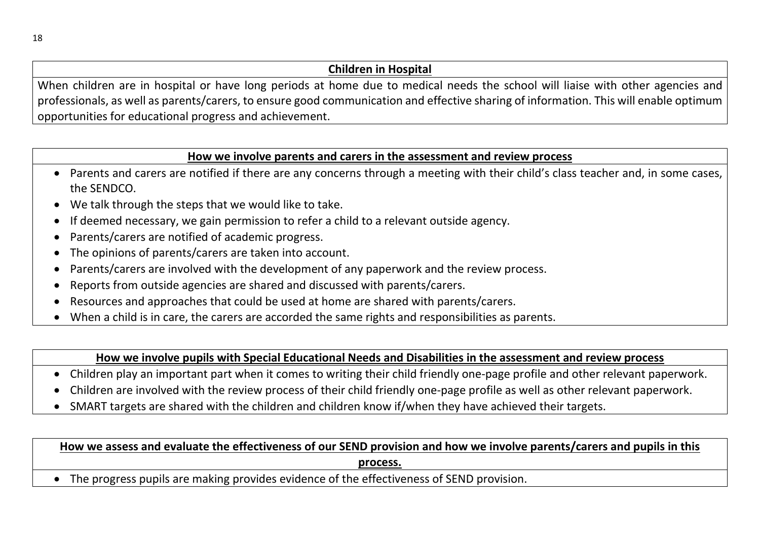#### Children in Hospital

When children are in hospital or have long periods at home due to medical needs the school will liaise with other agencies and professionals, as well as parents/carers, to ensure good communication and effective sharing of information. This will enable optimum opportunities for educational progress and achievement.

#### How we involve parents and carers in the assessment and review process

- Parents and carers are notified if there are any concerns through a meeting with their child's class teacher and, in some cases, the SENDCO.
- We talk through the steps that we would like to take.
- If deemed necessary, we gain permission to refer a child to a relevant outside agency.
- Parents/carers are notified of academic progress.
- The opinions of parents/carers are taken into account.
- Parents/carers are involved with the development of any paperwork and the review process.
- Reports from outside agencies are shared and discussed with parents/carers.
- Resources and approaches that could be used at home are shared with parents/carers.
- When a child is in care, the carers are accorded the same rights and responsibilities as parents.

#### How we involve pupils with Special Educational Needs and Disabilities in the assessment and review process

- Children play an important part when it comes to writing their child friendly one-page profile and other relevant paperwork.
- Children are involved with the review process of their child friendly one-page profile as well as other relevant paperwork.
- SMART targets are shared with the children and children know if/when they have achieved their targets.

### How we assess and evaluate the effectiveness of our SEND provision and how we involve parents/carers and pupils in this process.

The progress pupils are making provides evidence of the effectiveness of SEND provision.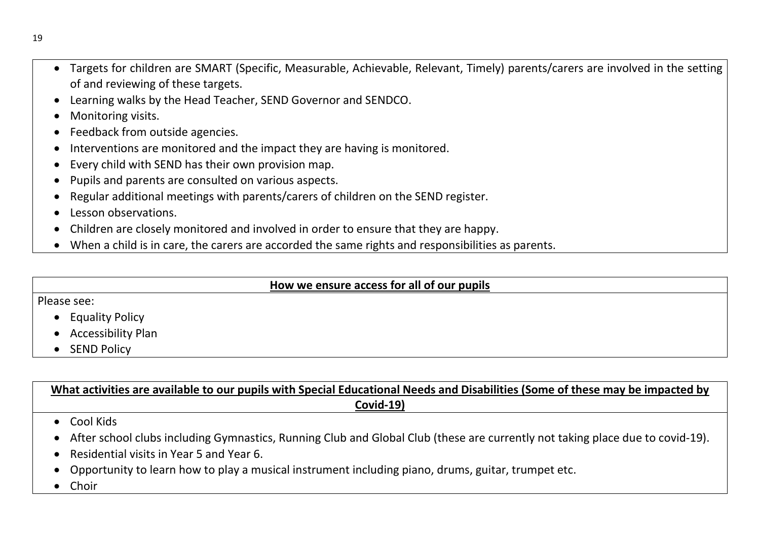- Targets for children are SMART (Specific, Measurable, Achievable, Relevant, Timely) parents/carers are involved in the setting of and reviewing of these targets.
- Learning walks by the Head Teacher, SEND Governor and SENDCO.
- Monitoring visits.
- Feedback from outside agencies.
- Interventions are monitored and the impact they are having is monitored.
- Every child with SEND has their own provision map.
- Pupils and parents are consulted on various aspects.
- Regular additional meetings with parents/carers of children on the SEND register.
- Lesson observations.
- Children are closely monitored and involved in order to ensure that they are happy.
- When a child is in care, the carers are accorded the same rights and responsibilities as parents.

#### How we ensure access for all of our pupils

#### Please see:

- Equality Policy
- Accessibility Plan
- SEND Policy

What activities are available to our pupils with Special Educational Needs and Disabilities (Some of these may be impacted by Covid-19)

- Cool Kids
- After school clubs including Gymnastics, Running Club and Global Club (these are currently not taking place due to covid-19).
- Residential visits in Year 5 and Year 6.
- Opportunity to learn how to play a musical instrument including piano, drums, guitar, trumpet etc.
- Choir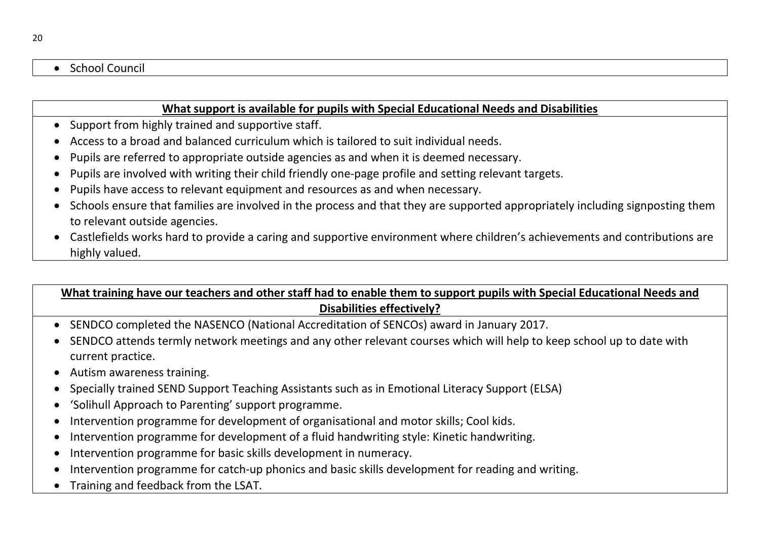#### • School Council

#### What support is available for pupils with Special Educational Needs and Disabilities

- Support from highly trained and supportive staff.
- Access to a broad and balanced curriculum which is tailored to suit individual needs.
- Pupils are referred to appropriate outside agencies as and when it is deemed necessary.
- Pupils are involved with writing their child friendly one-page profile and setting relevant targets.
- Pupils have access to relevant equipment and resources as and when necessary.
- Schools ensure that families are involved in the process and that they are supported appropriately including signposting them to relevant outside agencies.
- Castlefields works hard to provide a caring and supportive environment where children's achievements and contributions are highly valued.

## What training have our teachers and other staff had to enable them to support pupils with Special Educational Needs and Disabilities effectively?

- SENDCO completed the NASENCO (National Accreditation of SENCOs) award in January 2017.
- SENDCO attends termly network meetings and any other relevant courses which will help to keep school up to date with current practice.
- Autism awareness training.
- Specially trained SEND Support Teaching Assistants such as in Emotional Literacy Support (ELSA)
- 'Solihull Approach to Parenting' support programme.
- Intervention programme for development of organisational and motor skills; Cool kids.
- Intervention programme for development of a fluid handwriting style: Kinetic handwriting.
- Intervention programme for basic skills development in numeracy.
- Intervention programme for catch-up phonics and basic skills development for reading and writing.
- Training and feedback from the LSAT.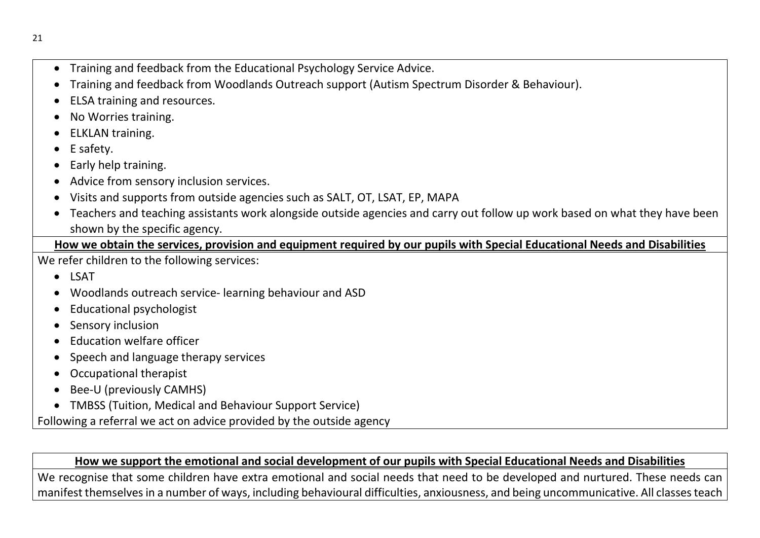- Training and feedback from the Educational Psychology Service Advice.
- Training and feedback from Woodlands Outreach support (Autism Spectrum Disorder & Behaviour).
- ELSA training and resources.
- No Worries training.
- ELKLAN training.
- E safety.
- Early help training.
- Advice from sensory inclusion services.
- Visits and supports from outside agencies such as SALT, OT, LSAT, EP, MAPA
- Teachers and teaching assistants work alongside outside agencies and carry out follow up work based on what they have been shown by the specific agency.

## How we obtain the services, provision and equipment required by our pupils with Special Educational Needs and Disabilities

We refer children to the following services:

- LSAT
- Woodlands outreach service- learning behaviour and ASD
- Educational psychologist
- Sensory inclusion
- Education welfare officer
- Speech and language therapy services
- Occupational therapist
- Bee-U (previously CAMHS)
- TMBSS (Tuition, Medical and Behaviour Support Service)

Following a referral we act on advice provided by the outside agency

## How we support the emotional and social development of our pupils with Special Educational Needs and Disabilities

We recognise that some children have extra emotional and social needs that need to be developed and nurtured. These needs can manifest themselves in a number of ways, including behavioural difficulties, anxiousness, and being uncommunicative. All classes teach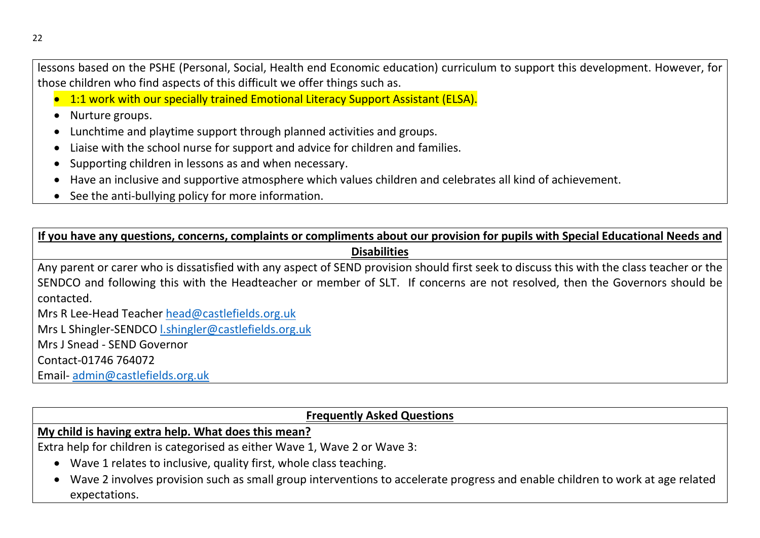lessons based on the PSHE (Personal, Social, Health end Economic education) curriculum to support this development. However, for those children who find aspects of this difficult we offer things such as.

• 1:1 work with our specially trained Emotional Literacy Support Assistant (ELSA).

• Nurture groups.

- Lunchtime and playtime support through planned activities and groups.
- Liaise with the school nurse for support and advice for children and families.
- Supporting children in lessons as and when necessary.
- Have an inclusive and supportive atmosphere which values children and celebrates all kind of achievement.
- See the anti-bullying policy for more information.

If you have any questions, concerns, complaints or compliments about our provision for pupils with Special Educational Needs and **Disabilities** 

Any parent or carer who is dissatisfied with any aspect of SEND provision should first seek to discuss this with the class teacher or the SENDCO and following this with the Headteacher or member of SLT. If concerns are not resolved, then the Governors should be contacted.

Mrs R Lee-Head Teacher head@castlefields.org.uk

Mrs L Shingler-SENDCO l.shingler@castlefields.org.uk

Mrs J Snead - SEND Governor

Contact-01746 764072

Email- admin@castlefields.org.uk

#### Frequently Asked Questions

My child is having extra help. What does this mean?

Extra help for children is categorised as either Wave 1, Wave 2 or Wave 3:

- Wave 1 relates to inclusive, quality first, whole class teaching.
- Wave 2 involves provision such as small group interventions to accelerate progress and enable children to work at age related expectations.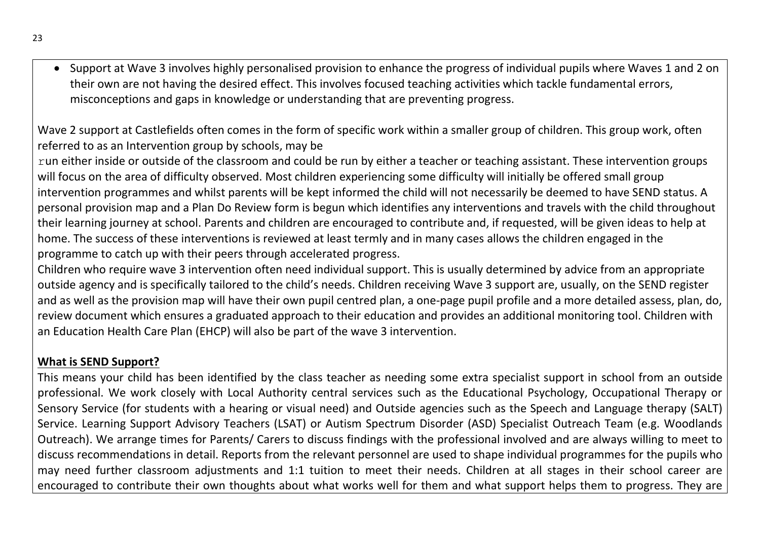Support at Wave 3 involves highly personalised provision to enhance the progress of individual pupils where Waves 1 and 2 on their own are not having the desired effect. This involves focused teaching activities which tackle fundamental errors, misconceptions and gaps in knowledge or understanding that are preventing progress.

Wave 2 support at Castlefields often comes in the form of specific work within a smaller group of children. This group work, often referred to as an Intervention group by schools, may be

run either inside or outside of the classroom and could be run by either a teacher or teaching assistant. These intervention groups will focus on the area of difficulty observed. Most children experiencing some difficulty will initially be offered small group intervention programmes and whilst parents will be kept informed the child will not necessarily be deemed to have SEND status. A personal provision map and a Plan Do Review form is begun which identifies any interventions and travels with the child throughout their learning journey at school. Parents and children are encouraged to contribute and, if requested, will be given ideas to help at home. The success of these interventions is reviewed at least termly and in many cases allows the children engaged in the programme to catch up with their peers through accelerated progress.

Children who require wave 3 intervention often need individual support. This is usually determined by advice from an appropriate outside agency and is specifically tailored to the child's needs. Children receiving Wave 3 support are, usually, on the SEND register and as well as the provision map will have their own pupil centred plan, a one-page pupil profile and a more detailed assess, plan, do, review document which ensures a graduated approach to their education and provides an additional monitoring tool. Children with an Education Health Care Plan (EHCP) will also be part of the wave 3 intervention.

#### What is SEND Support?

This means your child has been identified by the class teacher as needing some extra specialist support in school from an outside professional. We work closely with Local Authority central services such as the Educational Psychology, Occupational Therapy or Sensory Service (for students with a hearing or visual need) and Outside agencies such as the Speech and Language therapy (SALT) Service. Learning Support Advisory Teachers (LSAT) or Autism Spectrum Disorder (ASD) Specialist Outreach Team (e.g. Woodlands Outreach). We arrange times for Parents/ Carers to discuss findings with the professional involved and are always willing to meet to discuss recommendations in detail. Reports from the relevant personnel are used to shape individual programmes for the pupils who may need further classroom adjustments and 1:1 tuition to meet their needs. Children at all stages in their school career are encouraged to contribute their own thoughts about what works well for them and what support helps them to progress. They are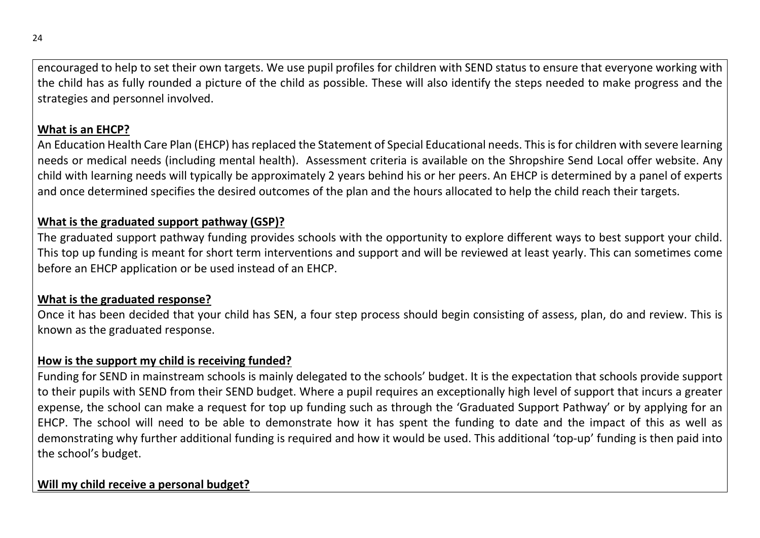encouraged to help to set their own targets. We use pupil profiles for children with SEND status to ensure that everyone working with the child has as fully rounded a picture of the child as possible. These will also identify the steps needed to make progress and the strategies and personnel involved.

## What is an EHCP?

An Education Health Care Plan (EHCP) has replaced the Statement of Special Educational needs. This is for children with severe learning needs or medical needs (including mental health). Assessment criteria is available on the Shropshire Send Local offer website. Any child with learning needs will typically be approximately 2 years behind his or her peers. An EHCP is determined by a panel of experts and once determined specifies the desired outcomes of the plan and the hours allocated to help the child reach their targets.

### What is the graduated support pathway (GSP)?

The graduated support pathway funding provides schools with the opportunity to explore different ways to best support your child. This top up funding is meant for short term interventions and support and will be reviewed at least yearly. This can sometimes come before an EHCP application or be used instead of an EHCP.

#### What is the graduated response?

Once it has been decided that your child has SEN, a four step process should begin consisting of assess, plan, do and review. This is known as the graduated response.

### How is the support my child is receiving funded?

Funding for SEND in mainstream schools is mainly delegated to the schools' budget. It is the expectation that schools provide support to their pupils with SEND from their SEND budget. Where a pupil requires an exceptionally high level of support that incurs a greater expense, the school can make a request for top up funding such as through the 'Graduated Support Pathway' or by applying for an EHCP. The school will need to be able to demonstrate how it has spent the funding to date and the impact of this as well as demonstrating why further additional funding is required and how it would be used. This additional 'top-up' funding is then paid into the school's budget.

## Will my child receive a personal budget?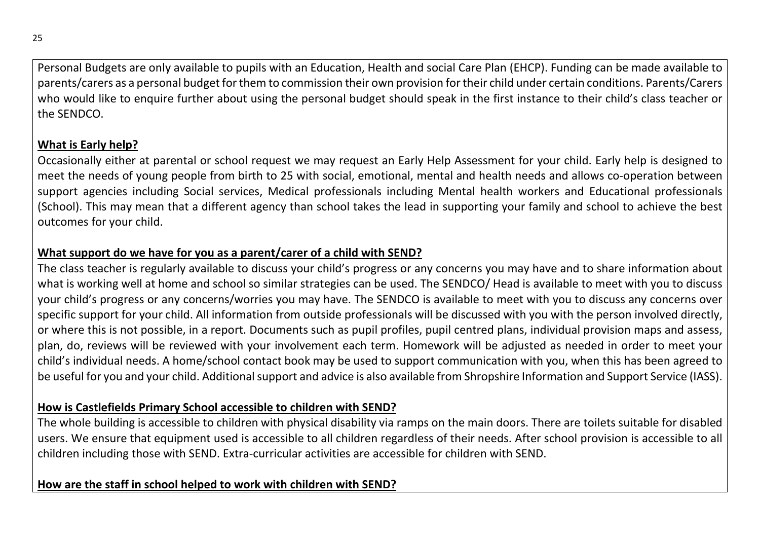Personal Budgets are only available to pupils with an Education, Health and social Care Plan (EHCP). Funding can be made available to parents/carers as a personal budget for them to commission their own provision for their child under certain conditions. Parents/Carers who would like to enquire further about using the personal budget should speak in the first instance to their child's class teacher or the SENDCO.

#### What is Early help?

Occasionally either at parental or school request we may request an Early Help Assessment for your child. Early help is designed to meet the needs of young people from birth to 25 with social, emotional, mental and health needs and allows co-operation between support agencies including Social services, Medical professionals including Mental health workers and Educational professionals (School). This may mean that a different agency than school takes the lead in supporting your family and school to achieve the best outcomes for your child.

#### What support do we have for you as a parent/carer of a child with SEND?

The class teacher is regularly available to discuss your child's progress or any concerns you may have and to share information about what is working well at home and school so similar strategies can be used. The SENDCO/ Head is available to meet with you to discuss your child's progress or any concerns/worries you may have. The SENDCO is available to meet with you to discuss any concerns over specific support for your child. All information from outside professionals will be discussed with you with the person involved directly, or where this is not possible, in a report. Documents such as pupil profiles, pupil centred plans, individual provision maps and assess, plan, do, reviews will be reviewed with your involvement each term. Homework will be adjusted as needed in order to meet your child's individual needs. A home/school contact book may be used to support communication with you, when this has been agreed to be useful for you and your child. Additional support and advice is also available from Shropshire Information and Support Service (IASS).

#### How is Castlefields Primary School accessible to children with SEND?

The whole building is accessible to children with physical disability via ramps on the main doors. There are toilets suitable for disabled users. We ensure that equipment used is accessible to all children regardless of their needs. After school provision is accessible to all children including those with SEND. Extra-curricular activities are accessible for children with SEND.

#### How are the staff in school helped to work with children with SEND?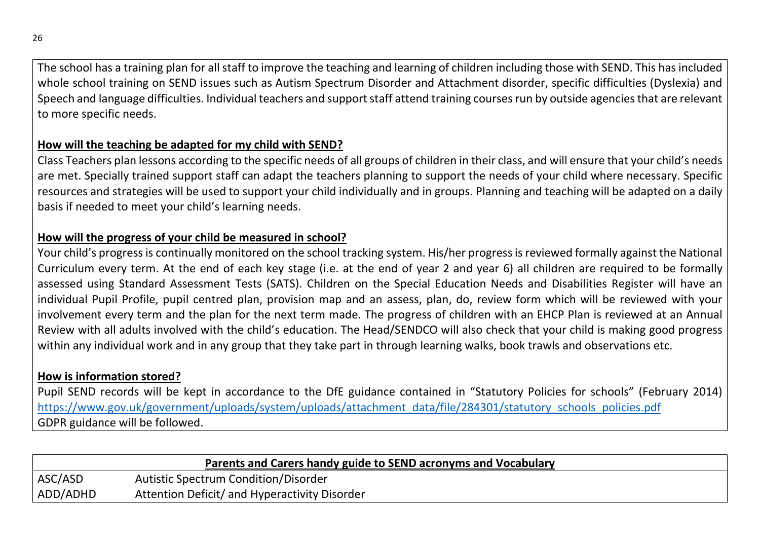The school has a training plan for all staff to improve the teaching and learning of children including those with SEND. This has included whole school training on SEND issues such as Autism Spectrum Disorder and Attachment disorder, specific difficulties (Dyslexia) and Speech and language difficulties. Individual teachers and support staff attend training courses run by outside agencies that are relevant to more specific needs.

#### How will the teaching be adapted for my child with SEND?

Class Teachers plan lessons according to the specific needs of all groups of children in their class, and will ensure that your child's needs are met. Specially trained support staff can adapt the teachers planning to support the needs of your child where necessary. Specific resources and strategies will be used to support your child individually and in groups. Planning and teaching will be adapted on a daily basis if needed to meet your child's learning needs.

### How will the progress of your child be measured in school?

Your child's progress is continually monitored on the school tracking system. His/her progress is reviewed formally against the National Curriculum every term. At the end of each key stage (i.e. at the end of year 2 and year 6) all children are required to be formally assessed using Standard Assessment Tests (SATS). Children on the Special Education Needs and Disabilities Register will have an individual Pupil Profile, pupil centred plan, provision map and an assess, plan, do, review form which will be reviewed with your involvement every term and the plan for the next term made. The progress of children with an EHCP Plan is reviewed at an Annual Review with all adults involved with the child's education. The Head/SENDCO will also check that your child is making good progress within any individual work and in any group that they take part in through learning walks, book trawls and observations etc.

### How is information stored?

Pupil SEND records will be kept in accordance to the DfE guidance contained in "Statutory Policies for schools" (February 2014) https://www.gov.uk/government/uploads/system/uploads/attachment\_data/file/284301/statutory\_schools\_policies.pdf GDPR guidance will be followed.

| Parents and Carers handy guide to SEND acronyms and Vocabulary |                                               |
|----------------------------------------------------------------|-----------------------------------------------|
| ASC/ASD                                                        | Autistic Spectrum Condition/Disorder          |
| ADD/ADHD                                                       | Attention Deficit/ and Hyperactivity Disorder |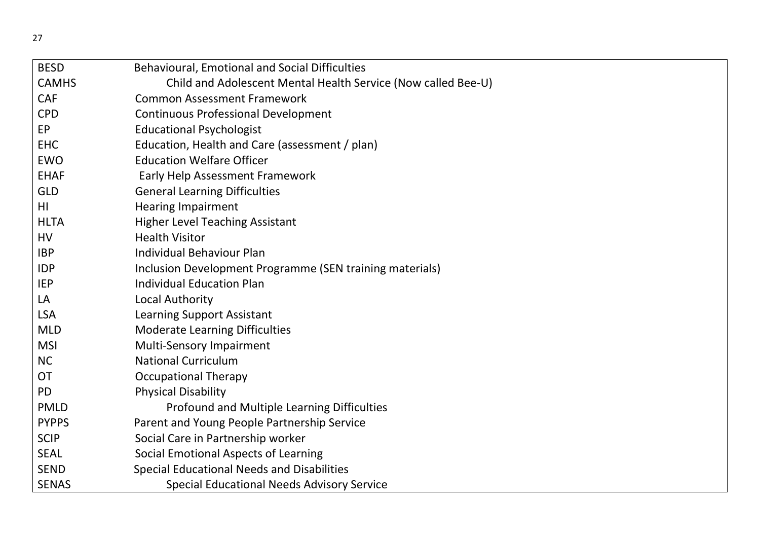| <b>BESD</b>  | Behavioural, Emotional and Social Difficulties                |
|--------------|---------------------------------------------------------------|
| <b>CAMHS</b> | Child and Adolescent Mental Health Service (Now called Bee-U) |
| <b>CAF</b>   | <b>Common Assessment Framework</b>                            |
| <b>CPD</b>   | <b>Continuous Professional Development</b>                    |
| EP           | <b>Educational Psychologist</b>                               |
| <b>EHC</b>   | Education, Health and Care (assessment / plan)                |
| <b>EWO</b>   | <b>Education Welfare Officer</b>                              |
| <b>EHAF</b>  | <b>Early Help Assessment Framework</b>                        |
| <b>GLD</b>   | <b>General Learning Difficulties</b>                          |
| HI           | <b>Hearing Impairment</b>                                     |
| <b>HLTA</b>  | <b>Higher Level Teaching Assistant</b>                        |
| HV           | <b>Health Visitor</b>                                         |
| <b>IBP</b>   | <b>Individual Behaviour Plan</b>                              |
| <b>IDP</b>   | Inclusion Development Programme (SEN training materials)      |
| <b>IEP</b>   | <b>Individual Education Plan</b>                              |
| LA           | Local Authority                                               |
| <b>LSA</b>   | <b>Learning Support Assistant</b>                             |
| <b>MLD</b>   | <b>Moderate Learning Difficulties</b>                         |
| <b>MSI</b>   | Multi-Sensory Impairment                                      |
| <b>NC</b>    | <b>National Curriculum</b>                                    |
| <b>OT</b>    | <b>Occupational Therapy</b>                                   |
| <b>PD</b>    | <b>Physical Disability</b>                                    |
| <b>PMLD</b>  | Profound and Multiple Learning Difficulties                   |
| <b>PYPPS</b> | Parent and Young People Partnership Service                   |
| <b>SCIP</b>  | Social Care in Partnership worker                             |
| <b>SEAL</b>  | Social Emotional Aspects of Learning                          |
| <b>SEND</b>  | <b>Special Educational Needs and Disabilities</b>             |
| <b>SENAS</b> | <b>Special Educational Needs Advisory Service</b>             |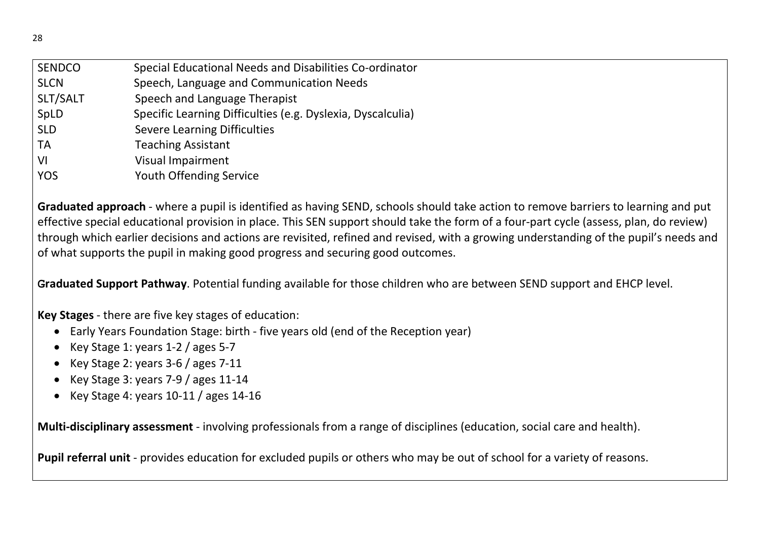| <b>SENDCO</b> | Special Educational Needs and Disabilities Co-ordinator     |
|---------------|-------------------------------------------------------------|
| <b>SLCN</b>   | Speech, Language and Communication Needs                    |
| SLT/SALT      | Speech and Language Therapist                               |
| SpLD          | Specific Learning Difficulties (e.g. Dyslexia, Dyscalculia) |
| <b>SLD</b>    | <b>Severe Learning Difficulties</b>                         |
| <b>TA</b>     | <b>Teaching Assistant</b>                                   |
| VI            | <b>Visual Impairment</b>                                    |
| <b>YOS</b>    | Youth Offending Service                                     |

Graduated approach - where a pupil is identified as having SEND, schools should take action to remove barriers to learning and put effective special educational provision in place. This SEN support should take the form of a four-part cycle (assess, plan, do review) through which earlier decisions and actions are revisited, refined and revised, with a growing understanding of the pupil's needs and of what supports the pupil in making good progress and securing good outcomes.

Graduated Support Pathway. Potential funding available for those children who are between SEND support and EHCP level.

Key Stages - there are five key stages of education:

- Early Years Foundation Stage: birth five years old (end of the Reception year)
- Key Stage 1: years  $1-2$  / ages  $5-7$
- Key Stage 2: years 3-6 / ages 7-11
- Key Stage 3: years 7-9 / ages 11-14
- $\bullet$  Key Stage 4: years 10-11 / ages 14-16

Multi-disciplinary assessment - involving professionals from a range of disciplines (education, social care and health).

Pupil referral unit - provides education for excluded pupils or others who may be out of school for a variety of reasons.